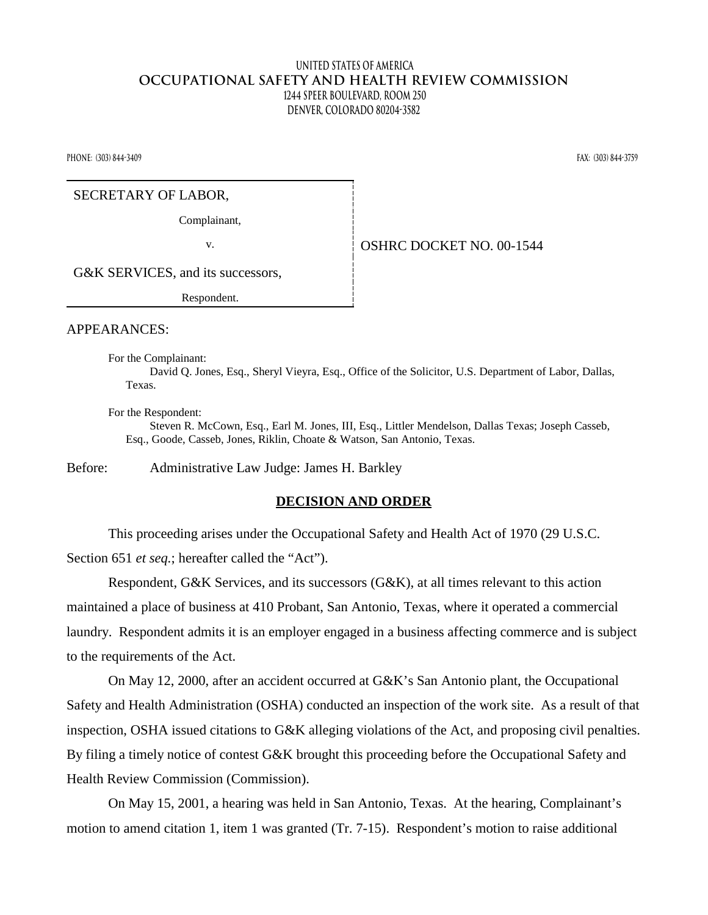## **United States of America OCCUPATIONAL SAFETY AND HEALTH REVIEW COMMISSION 1244 Speer Boulevard, Room 250 Denver, Colorado 80204-3582**

**Phone: (303) 844-3409 Fax: (303) 844-3759** 

#### SECRETARY OF LABOR,

Complainant,

v. **SEPTER SERVICE DOCKET NO.** 00-1544

G&K SERVICES, and its successors,

Respondent.

APPEARANCES:

For the Complainant:

David Q. Jones, Esq., Sheryl Vieyra, Esq., Office of the Solicitor, U.S. Department of Labor, Dallas, Texas.

For the Respondent:

Steven R. McCown, Esq., Earl M. Jones, III, Esq., Littler Mendelson, Dallas Texas; Joseph Casseb, Esq., Goode, Casseb, Jones, Riklin, Choate & Watson, San Antonio, Texas.

Before: Administrative Law Judge: James H. Barkley

### **DECISION AND ORDER**

This proceeding arises under the Occupational Safety and Health Act of 1970 (29 U.S.C. Section 651 *et seq.*; hereafter called the "Act").

Respondent, G&K Services, and its successors (G&K), at all times relevant to this action maintained a place of business at 410 Probant, San Antonio, Texas, where it operated a commercial laundry. Respondent admits it is an employer engaged in a business affecting commerce and is subject to the requirements of the Act.

On May 12, 2000, after an accident occurred at G&K's San Antonio plant, the Occupational Safety and Health Administration (OSHA) conducted an inspection of the work site. As a result of that inspection, OSHA issued citations to G&K alleging violations of the Act, and proposing civil penalties. By filing a timely notice of contest G&K brought this proceeding before the Occupational Safety and Health Review Commission (Commission).

On May 15, 2001, a hearing was held in San Antonio, Texas. At the hearing, Complainant's motion to amend citation 1, item 1 was granted (Tr. 7-15). Respondent's motion to raise additional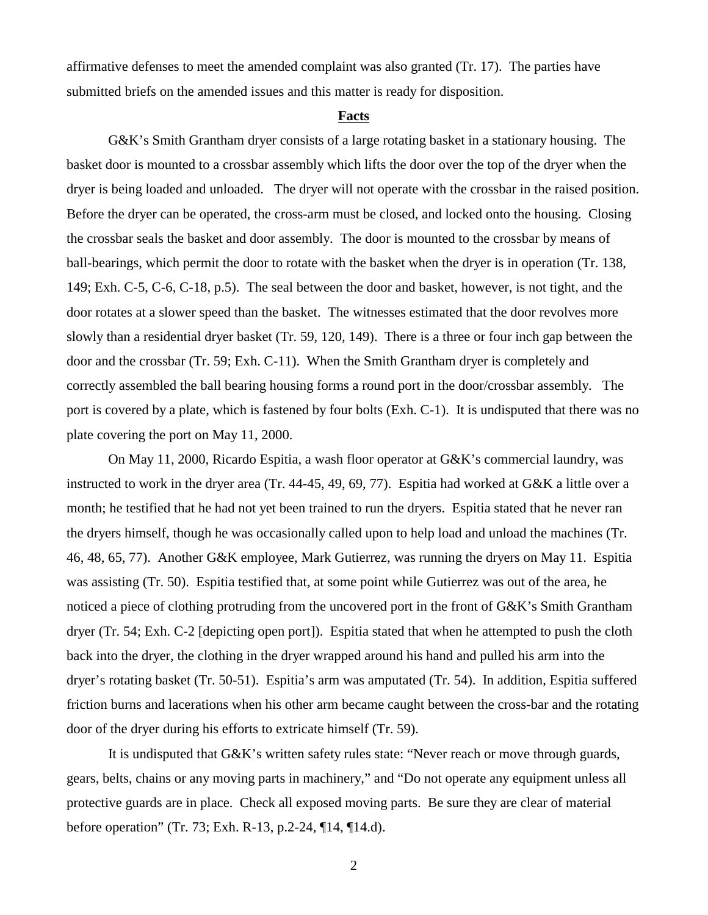affirmative defenses to meet the amended complaint was also granted (Tr. 17). The parties have submitted briefs on the amended issues and this matter is ready for disposition.

#### **Facts**

G&K's Smith Grantham dryer consists of a large rotating basket in a stationary housing. The basket door is mounted to a crossbar assembly which lifts the door over the top of the dryer when the dryer is being loaded and unloaded. The dryer will not operate with the crossbar in the raised position. Before the dryer can be operated, the cross-arm must be closed, and locked onto the housing. Closing the crossbar seals the basket and door assembly. The door is mounted to the crossbar by means of ball-bearings, which permit the door to rotate with the basket when the dryer is in operation (Tr. 138, 149; Exh. C-5, C-6, C-18, p.5). The seal between the door and basket, however, is not tight, and the door rotates at a slower speed than the basket. The witnesses estimated that the door revolves more slowly than a residential dryer basket (Tr. 59, 120, 149). There is a three or four inch gap between the door and the crossbar (Tr. 59; Exh. C-11). When the Smith Grantham dryer is completely and correctly assembled the ball bearing housing forms a round port in the door/crossbar assembly. The port is covered by a plate, which is fastened by four bolts (Exh. C-1). It is undisputed that there was no plate covering the port on May 11, 2000.

On May 11, 2000, Ricardo Espitia, a wash floor operator at G&K's commercial laundry, was instructed to work in the dryer area (Tr. 44-45, 49, 69, 77). Espitia had worked at G&K a little over a month; he testified that he had not yet been trained to run the dryers. Espitia stated that he never ran the dryers himself, though he was occasionally called upon to help load and unload the machines (Tr. 46, 48, 65, 77). Another G&K employee, Mark Gutierrez, was running the dryers on May 11. Espitia was assisting (Tr. 50). Espitia testified that, at some point while Gutierrez was out of the area, he noticed a piece of clothing protruding from the uncovered port in the front of G&K's Smith Grantham dryer (Tr. 54; Exh. C-2 [depicting open port]). Espitia stated that when he attempted to push the cloth back into the dryer, the clothing in the dryer wrapped around his hand and pulled his arm into the dryer's rotating basket (Tr. 50-51). Espitia's arm was amputated (Tr. 54). In addition, Espitia suffered friction burns and lacerations when his other arm became caught between the cross-bar and the rotating door of the dryer during his efforts to extricate himself (Tr. 59).

It is undisputed that G&K's written safety rules state: "Never reach or move through guards, gears, belts, chains or any moving parts in machinery," and "Do not operate any equipment unless all protective guards are in place. Check all exposed moving parts. Be sure they are clear of material before operation" (Tr. 73; Exh. R-13, p.2-24, ¶14, ¶14.d).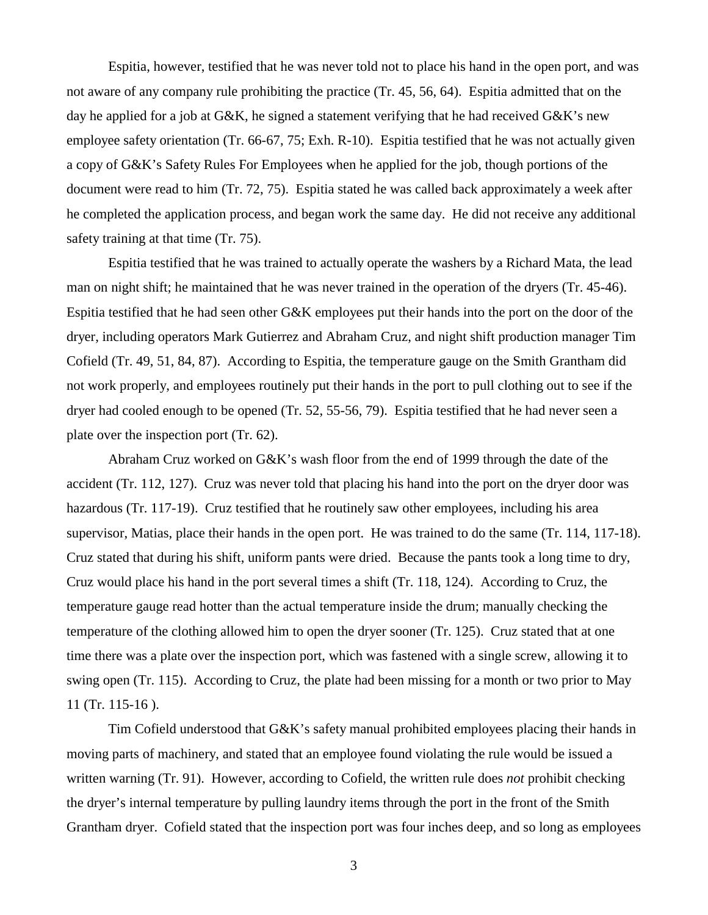Espitia, however, testified that he was never told not to place his hand in the open port, and was not aware of any company rule prohibiting the practice (Tr. 45, 56, 64). Espitia admitted that on the day he applied for a job at  $G\&K$ , he signed a statement verifying that he had received  $G\&K$ 's new employee safety orientation (Tr. 66-67, 75; Exh. R-10). Espitia testified that he was not actually given a copy of G&K's Safety Rules For Employees when he applied for the job, though portions of the document were read to him (Tr. 72, 75). Espitia stated he was called back approximately a week after he completed the application process, and began work the same day. He did not receive any additional safety training at that time (Tr. 75).

Espitia testified that he was trained to actually operate the washers by a Richard Mata, the lead man on night shift; he maintained that he was never trained in the operation of the dryers (Tr. 45-46). Espitia testified that he had seen other G&K employees put their hands into the port on the door of the dryer, including operators Mark Gutierrez and Abraham Cruz, and night shift production manager Tim Cofield (Tr. 49, 51, 84, 87). According to Espitia, the temperature gauge on the Smith Grantham did not work properly, and employees routinely put their hands in the port to pull clothing out to see if the dryer had cooled enough to be opened (Tr. 52, 55-56, 79). Espitia testified that he had never seen a plate over the inspection port (Tr. 62).

Abraham Cruz worked on G&K's wash floor from the end of 1999 through the date of the accident (Tr. 112, 127). Cruz was never told that placing his hand into the port on the dryer door was hazardous (Tr. 117-19). Cruz testified that he routinely saw other employees, including his area supervisor, Matias, place their hands in the open port. He was trained to do the same (Tr. 114, 117-18). Cruz stated that during his shift, uniform pants were dried. Because the pants took a long time to dry, Cruz would place his hand in the port several times a shift (Tr. 118, 124). According to Cruz, the temperature gauge read hotter than the actual temperature inside the drum; manually checking the temperature of the clothing allowed him to open the dryer sooner (Tr. 125). Cruz stated that at one time there was a plate over the inspection port, which was fastened with a single screw, allowing it to swing open (Tr. 115). According to Cruz, the plate had been missing for a month or two prior to May 11 (Tr. 115-16 ).

Tim Cofield understood that G&K's safety manual prohibited employees placing their hands in moving parts of machinery, and stated that an employee found violating the rule would be issued a written warning (Tr. 91). However, according to Cofield, the written rule does *not* prohibit checking the dryer's internal temperature by pulling laundry items through the port in the front of the Smith Grantham dryer. Cofield stated that the inspection port was four inches deep, and so long as employees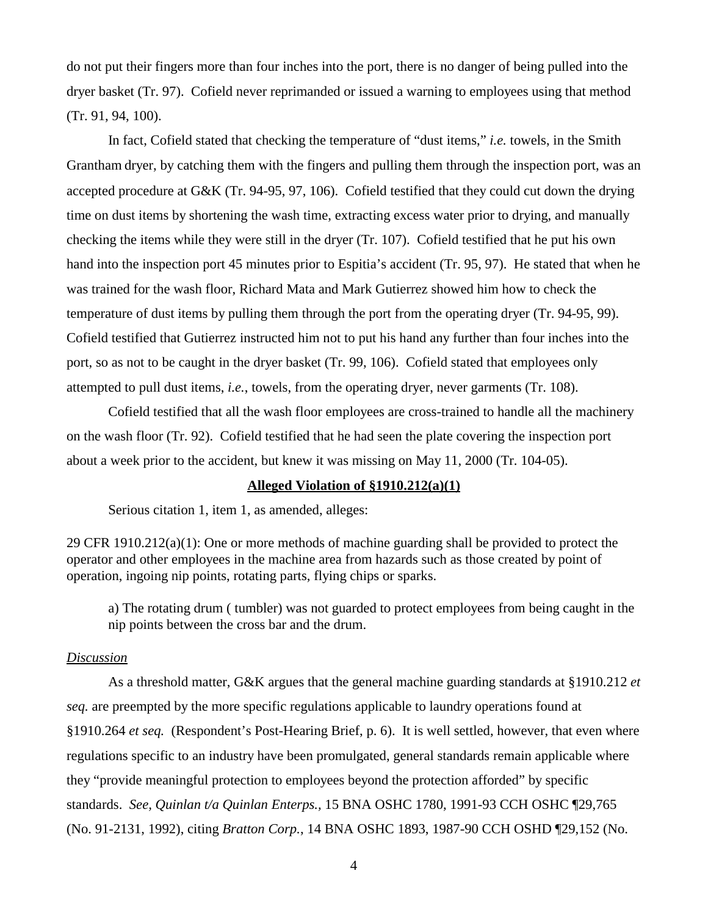do not put their fingers more than four inches into the port, there is no danger of being pulled into the dryer basket (Tr. 97). Cofield never reprimanded or issued a warning to employees using that method (Tr. 91, 94, 100).

In fact, Cofield stated that checking the temperature of "dust items," *i.e.* towels, in the Smith Grantham dryer, by catching them with the fingers and pulling them through the inspection port, was an accepted procedure at G&K (Tr. 94-95, 97, 106). Cofield testified that they could cut down the drying time on dust items by shortening the wash time, extracting excess water prior to drying, and manually checking the items while they were still in the dryer (Tr. 107). Cofield testified that he put his own hand into the inspection port 45 minutes prior to Espitia's accident (Tr. 95, 97). He stated that when he was trained for the wash floor, Richard Mata and Mark Gutierrez showed him how to check the temperature of dust items by pulling them through the port from the operating dryer (Tr. 94-95, 99). Cofield testified that Gutierrez instructed him not to put his hand any further than four inches into the port, so as not to be caught in the dryer basket (Tr. 99, 106). Cofield stated that employees only attempted to pull dust items, *i.e.*, towels, from the operating dryer, never garments (Tr. 108).

Cofield testified that all the wash floor employees are cross-trained to handle all the machinery on the wash floor (Tr. 92). Cofield testified that he had seen the plate covering the inspection port about a week prior to the accident, but knew it was missing on May 11, 2000 (Tr. 104-05).

### **Alleged Violation of §1910.212(a)(1)**

Serious citation 1, item 1, as amended, alleges:

29 CFR 1910.212(a)(1): One or more methods of machine guarding shall be provided to protect the operator and other employees in the machine area from hazards such as those created by point of operation, ingoing nip points, rotating parts, flying chips or sparks.

a) The rotating drum ( tumbler) was not guarded to protect employees from being caught in the nip points between the cross bar and the drum.

### *Discussion*

As a threshold matter, G&K argues that the general machine guarding standards at §1910.212 *et seq.* are preempted by the more specific regulations applicable to laundry operations found at §1910.264 *et seq.* (Respondent's Post-Hearing Brief, p. 6). It is well settled, however, that even where regulations specific to an industry have been promulgated, general standards remain applicable where they "provide meaningful protection to employees beyond the protection afforded" by specific standards. *See, Quinlan t/a Quinlan Enterps.,* 15 BNA OSHC 1780, 1991-93 CCH OSHC ¶29,765 (No. 91-2131, 1992), citing *Bratton Corp.*, 14 BNA OSHC 1893, 1987-90 CCH OSHD ¶29,152 (No.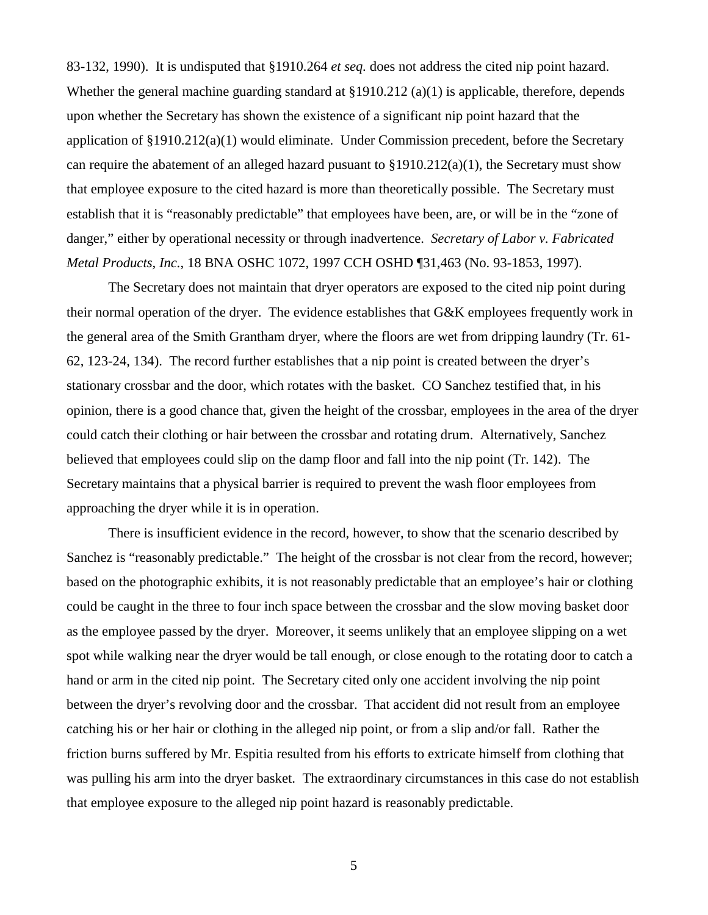83-132, 1990). It is undisputed that §1910.264 *et seq.* does not address the cited nip point hazard. Whether the general machine guarding standard at  $\S1910.212$  (a)(1) is applicable, therefore, depends upon whether the Secretary has shown the existence of a significant nip point hazard that the application of  $\S 1910.212(a)(1)$  would eliminate. Under Commission precedent, before the Secretary can require the abatement of an alleged hazard pusuant to §1910.212(a)(1), the Secretary must show that employee exposure to the cited hazard is more than theoretically possible. The Secretary must establish that it is "reasonably predictable" that employees have been, are, or will be in the "zone of danger," either by operational necessity or through inadvertence. *Secretary of Labor v. Fabricated Metal Products, Inc.*, 18 BNA OSHC 1072, 1997 CCH OSHD ¶31,463 (No. 93-1853, 1997).

The Secretary does not maintain that dryer operators are exposed to the cited nip point during their normal operation of the dryer. The evidence establishes that G&K employees frequently work in the general area of the Smith Grantham dryer, where the floors are wet from dripping laundry (Tr. 61- 62, 123-24, 134). The record further establishes that a nip point is created between the dryer's stationary crossbar and the door, which rotates with the basket. CO Sanchez testified that, in his opinion, there is a good chance that, given the height of the crossbar, employees in the area of the dryer could catch their clothing or hair between the crossbar and rotating drum. Alternatively, Sanchez believed that employees could slip on the damp floor and fall into the nip point (Tr. 142). The Secretary maintains that a physical barrier is required to prevent the wash floor employees from approaching the dryer while it is in operation.

There is insufficient evidence in the record, however, to show that the scenario described by Sanchez is "reasonably predictable." The height of the crossbar is not clear from the record, however; based on the photographic exhibits, it is not reasonably predictable that an employee's hair or clothing could be caught in the three to four inch space between the crossbar and the slow moving basket door as the employee passed by the dryer. Moreover, it seems unlikely that an employee slipping on a wet spot while walking near the dryer would be tall enough, or close enough to the rotating door to catch a hand or arm in the cited nip point. The Secretary cited only one accident involving the nip point between the dryer's revolving door and the crossbar. That accident did not result from an employee catching his or her hair or clothing in the alleged nip point, or from a slip and/or fall. Rather the friction burns suffered by Mr. Espitia resulted from his efforts to extricate himself from clothing that was pulling his arm into the dryer basket. The extraordinary circumstances in this case do not establish that employee exposure to the alleged nip point hazard is reasonably predictable.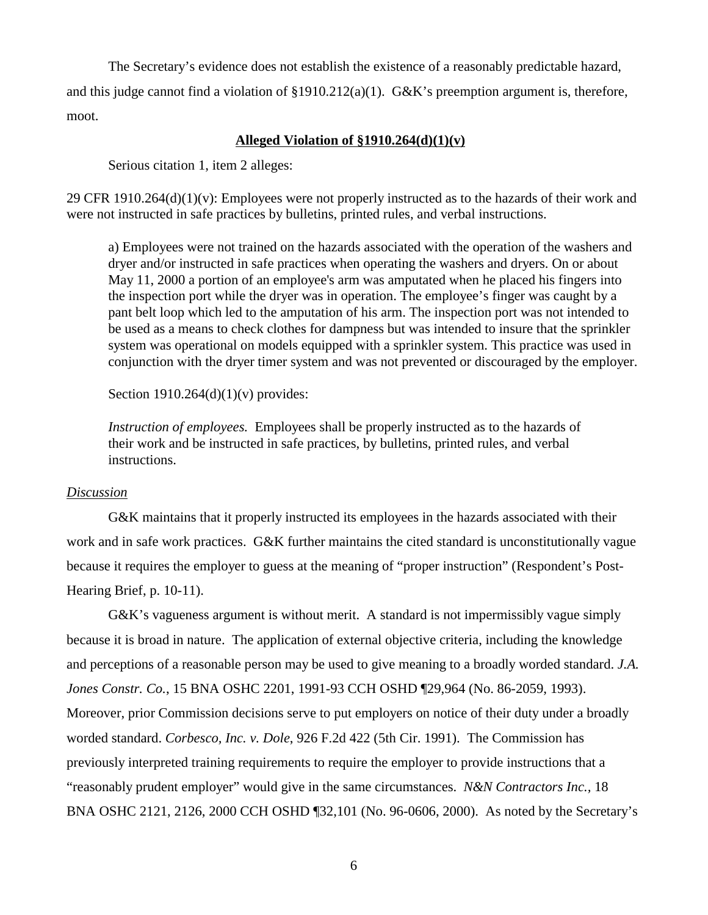The Secretary's evidence does not establish the existence of a reasonably predictable hazard, and this judge cannot find a violation of  $\S 1910.212(a)(1)$ . G&K's preemption argument is, therefore, moot.

## **Alleged Violation of §1910.264(d)(1)(v)**

Serious citation 1, item 2 alleges:

29 CFR 1910.264 $(d)(1)(v)$ : Employees were not properly instructed as to the hazards of their work and were not instructed in safe practices by bulletins, printed rules, and verbal instructions.

a) Employees were not trained on the hazards associated with the operation of the washers and dryer and/or instructed in safe practices when operating the washers and dryers. On or about May 11, 2000 a portion of an employee's arm was amputated when he placed his fingers into the inspection port while the dryer was in operation. The employee's finger was caught by a pant belt loop which led to the amputation of his arm. The inspection port was not intended to be used as a means to check clothes for dampness but was intended to insure that the sprinkler system was operational on models equipped with a sprinkler system. This practice was used in conjunction with the dryer timer system and was not prevented or discouraged by the employer.

Section  $1910.264(d)(1)(v)$  provides:

*Instruction of employees.* Employees shall be properly instructed as to the hazards of their work and be instructed in safe practices, by bulletins, printed rules, and verbal instructions.

### *Discussion*

G&K maintains that it properly instructed its employees in the hazards associated with their work and in safe work practices. G&K further maintains the cited standard is unconstitutionally vague because it requires the employer to guess at the meaning of "proper instruction" (Respondent's Post-Hearing Brief, p. 10-11).

G&K's vagueness argument is without merit. A standard is not impermissibly vague simply because it is broad in nature. The application of external objective criteria, including the knowledge and perceptions of a reasonable person may be used to give meaning to a broadly worded standard. *J.A. Jones Constr. Co.*, 15 BNA OSHC 2201, 1991-93 CCH OSHD ¶29,964 (No. 86-2059, 1993). Moreover, prior Commission decisions serve to put employers on notice of their duty under a broadly worded standard. *Corbesco, Inc. v. Dole*, 926 F.2d 422 (5th Cir. 1991). The Commission has previously interpreted training requirements to require the employer to provide instructions that a "reasonably prudent employer" would give in the same circumstances. *N&N Contractors Inc.,* 18 BNA OSHC 2121, 2126, 2000 CCH OSHD ¶32,101 (No. 96-0606, 2000). As noted by the Secretary's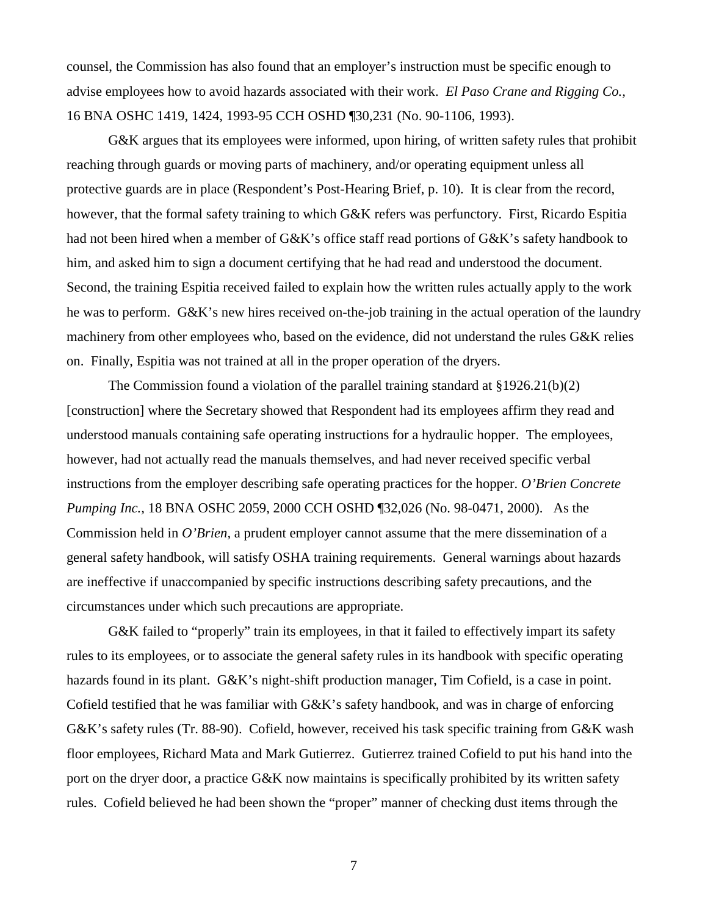counsel, the Commission has also found that an employer's instruction must be specific enough to advise employees how to avoid hazards associated with their work. *El Paso Crane and Rigging Co.,*  16 BNA OSHC 1419, 1424, 1993-95 CCH OSHD ¶30,231 (No. 90-1106, 1993).

G&K argues that its employees were informed, upon hiring, of written safety rules that prohibit reaching through guards or moving parts of machinery, and/or operating equipment unless all protective guards are in place (Respondent's Post-Hearing Brief, p. 10). It is clear from the record, however, that the formal safety training to which G&K refers was perfunctory. First, Ricardo Espitia had not been hired when a member of G&K's office staff read portions of G&K's safety handbook to him, and asked him to sign a document certifying that he had read and understood the document. Second, the training Espitia received failed to explain how the written rules actually apply to the work he was to perform. G&K's new hires received on-the-job training in the actual operation of the laundry machinery from other employees who, based on the evidence, did not understand the rules G&K relies on. Finally, Espitia was not trained at all in the proper operation of the dryers.

The Commission found a violation of the parallel training standard at §1926.21(b)(2) [construction] where the Secretary showed that Respondent had its employees affirm they read and understood manuals containing safe operating instructions for a hydraulic hopper. The employees, however, had not actually read the manuals themselves, and had never received specific verbal instructions from the employer describing safe operating practices for the hopper. *O'Brien Concrete Pumping Inc.,* 18 BNA OSHC 2059, 2000 CCH OSHD ¶32,026 (No. 98-0471, 2000). As the Commission held in *O'Brien,* a prudent employer cannot assume that the mere dissemination of a general safety handbook, will satisfy OSHA training requirements. General warnings about hazards are ineffective if unaccompanied by specific instructions describing safety precautions, and the circumstances under which such precautions are appropriate.

G&K failed to "properly" train its employees, in that it failed to effectively impart its safety rules to its employees, or to associate the general safety rules in its handbook with specific operating hazards found in its plant. G&K's night-shift production manager, Tim Cofield, is a case in point. Cofield testified that he was familiar with G&K's safety handbook, and was in charge of enforcing G&K's safety rules (Tr. 88-90). Cofield, however, received his task specific training from G&K wash floor employees, Richard Mata and Mark Gutierrez. Gutierrez trained Cofield to put his hand into the port on the dryer door, a practice G&K now maintains is specifically prohibited by its written safety rules. Cofield believed he had been shown the "proper" manner of checking dust items through the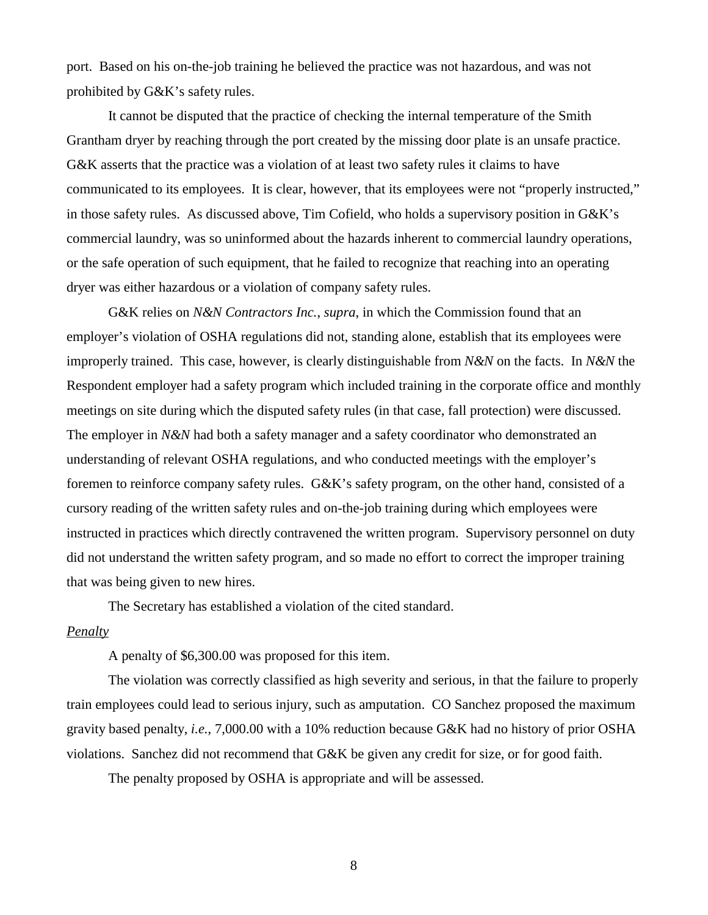port. Based on his on-the-job training he believed the practice was not hazardous, and was not prohibited by G&K's safety rules.

It cannot be disputed that the practice of checking the internal temperature of the Smith Grantham dryer by reaching through the port created by the missing door plate is an unsafe practice. G&K asserts that the practice was a violation of at least two safety rules it claims to have communicated to its employees. It is clear, however, that its employees were not "properly instructed," in those safety rules. As discussed above, Tim Cofield, who holds a supervisory position in G&K's commercial laundry, was so uninformed about the hazards inherent to commercial laundry operations, or the safe operation of such equipment, that he failed to recognize that reaching into an operating dryer was either hazardous or a violation of company safety rules.

G&K relies on *N&N Contractors Inc.*, *supra*, in which the Commission found that an employer's violation of OSHA regulations did not, standing alone, establish that its employees were improperly trained. This case, however, is clearly distinguishable from *N&N* on the facts. In *N&N* the Respondent employer had a safety program which included training in the corporate office and monthly meetings on site during which the disputed safety rules (in that case, fall protection) were discussed. The employer in *N&N* had both a safety manager and a safety coordinator who demonstrated an understanding of relevant OSHA regulations, and who conducted meetings with the employer's foremen to reinforce company safety rules. G&K's safety program, on the other hand, consisted of a cursory reading of the written safety rules and on-the-job training during which employees were instructed in practices which directly contravened the written program. Supervisory personnel on duty did not understand the written safety program, and so made no effort to correct the improper training that was being given to new hires.

The Secretary has established a violation of the cited standard.

## *Penalty*

A penalty of \$6,300.00 was proposed for this item.

The violation was correctly classified as high severity and serious, in that the failure to properly train employees could lead to serious injury, such as amputation. CO Sanchez proposed the maximum gravity based penalty, *i.e.*, 7,000.00 with a 10% reduction because G&K had no history of prior OSHA violations. Sanchez did not recommend that G&K be given any credit for size, or for good faith.

The penalty proposed by OSHA is appropriate and will be assessed.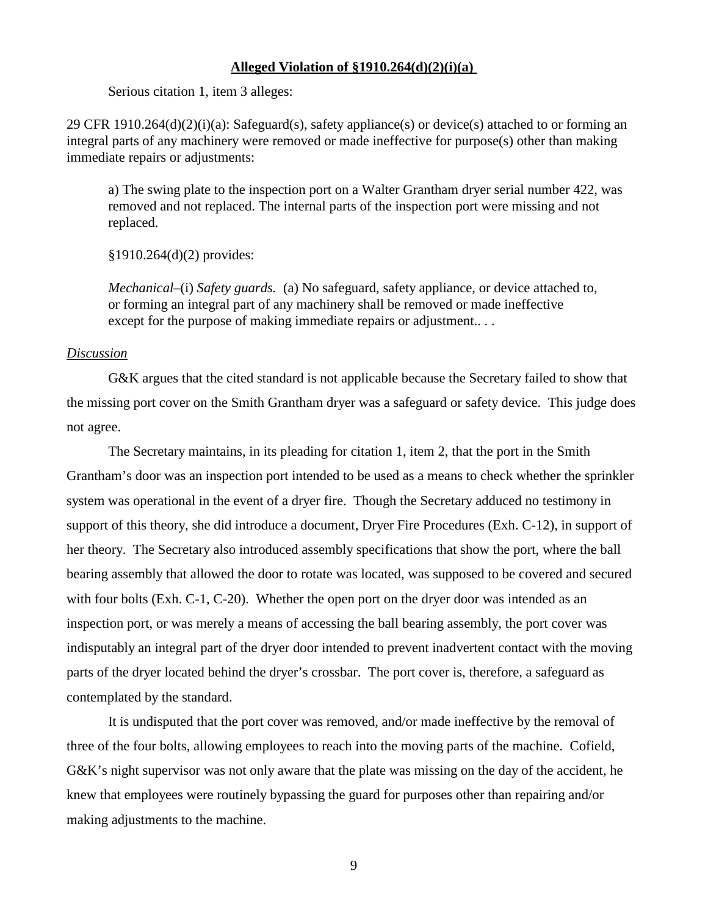### **Alleged Violation of §1910.264(d)(2)(i)(a)**

Serious citation 1, item 3 alleges:

29 CFR 1910.264 $(d)(2)(i)(a)$ : Safeguard(s), safety appliance(s) or device(s) attached to or forming an integral parts of any machinery were removed or made ineffective for purpose(s) other than making immediate repairs or adjustments:

a) The swing plate to the inspection port on a Walter Grantham dryer serial number 422, was removed and not replaced. The internal parts of the inspection port were missing and not replaced.

§1910.264(d)(2) provides:

*Mechanical–*(i) *Safety guards.* (a) No safeguard, safety appliance, or device attached to, or forming an integral part of any machinery shall be removed or made ineffective except for the purpose of making immediate repairs or adjustment...

## *Discussion*

G&K argues that the cited standard is not applicable because the Secretary failed to show that the missing port cover on the Smith Grantham dryer was a safeguard or safety device. This judge does not agree.

The Secretary maintains, in its pleading for citation 1, item 2, that the port in the Smith Grantham's door was an inspection port intended to be used as a means to check whether the sprinkler system was operational in the event of a dryer fire. Though the Secretary adduced no testimony in support of this theory, she did introduce a document, Dryer Fire Procedures (Exh. C-12), in support of her theory. The Secretary also introduced assembly specifications that show the port, where the ball bearing assembly that allowed the door to rotate was located, was supposed to be covered and secured with four bolts (Exh. C-1, C-20). Whether the open port on the dryer door was intended as an inspection port, or was merely a means of accessing the ball bearing assembly, the port cover was indisputably an integral part of the dryer door intended to prevent inadvertent contact with the moving parts of the dryer located behind the dryer's crossbar. The port cover is, therefore, a safeguard as contemplated by the standard.

It is undisputed that the port cover was removed, and/or made ineffective by the removal of three of the four bolts, allowing employees to reach into the moving parts of the machine. Cofield, G&K's night supervisor was not only aware that the plate was missing on the day of the accident, he knew that employees were routinely bypassing the guard for purposes other than repairing and/or making adjustments to the machine.